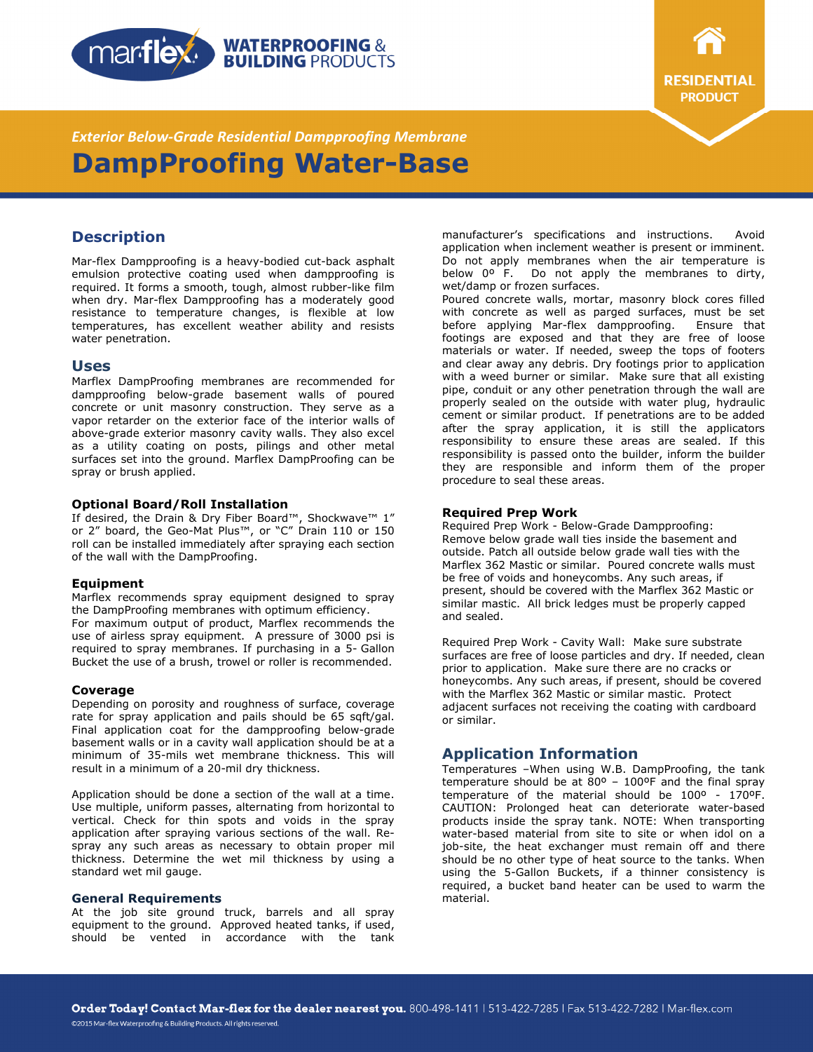



*Exterior Below-Grade Residential Dampproofing Membrane*  **DampProofing Water-Base** 

# **Description**

Mar-flex Dampproofing is a heavy-bodied cut-back asphalt emulsion protective coating used when dampproofing is required. It forms a smooth, tough, almost rubber-like film when dry. Mar-flex Dampproofing has a moderately good resistance to temperature changes, is flexible at low temperatures, has excellent weather ability and resists water penetration.

## **Uses**

Marflex DampProofing membranes are recommended for dampproofing below-grade basement walls of poured concrete or unit masonry construction. They serve as a vapor retarder on the exterior face of the interior walls of above-grade exterior masonry cavity walls. They also excel as a utility coating on posts, pilings and other metal surfaces set into the ground. Marflex DampProofing can be spray or brush applied.

#### **Optional Board/Roll Installation**

If desired, the Drain & Dry Fiber Board™, Shockwave™ 1" or 2" board, the Geo-Mat Plus™, or "C" Drain 110 or 150 roll can be installed immediately after spraying each section of the wall with the DampProofing.

### **Equipment**

Marflex recommends spray equipment designed to spray the DampProofing membranes with optimum efficiency. For maximum output of product, Marflex recommends the use of airless spray equipment. A pressure of 3000 psi is required to spray membranes. If purchasing in a 5- Gallon Bucket the use of a brush, trowel or roller is recommended.

### **Coverage**

Depending on porosity and roughness of surface, coverage rate for spray application and pails should be 65 sqft/gal. Final application coat for the dampproofing below-grade basement walls or in a cavity wall application should be at a minimum of 35-mils wet membrane thickness. This will result in a minimum of a 20-mil dry thickness.

Application should be done a section of the wall at a time. Use multiple, uniform passes, alternating from horizontal to vertical. Check for thin spots and voids in the spray application after spraying various sections of the wall. Respray any such areas as necessary to obtain proper mil thickness. Determine the wet mil thickness by using a standard wet mil gauge.

#### **General Requirements**

At the job site ground truck, barrels and all spray equipment to the ground. Approved heated tanks, if used, should be vented in accordance with the tank manufacturer's specifications and instructions. Avoid application when inclement weather is present or imminent. Do not apply membranes when the air temperature is below 0º F. Do not apply the membranes to dirty, wet/damp or frozen surfaces.

Poured concrete walls, mortar, masonry block cores filled with concrete as well as parged surfaces, must be set before applying Mar-flex dampproofing. Ensure that footings are exposed and that they are free of loose materials or water. If needed, sweep the tops of footers and clear away any debris. Dry footings prior to application with a weed burner or similar. Make sure that all existing pipe, conduit or any other penetration through the wall are properly sealed on the outside with water plug, hydraulic cement or similar product. If penetrations are to be added after the spray application, it is still the applicators responsibility to ensure these areas are sealed. If this responsibility is passed onto the builder, inform the builder they are responsible and inform them of the proper procedure to seal these areas.

#### **Required Prep Work**

Required Prep Work - Below-Grade Dampproofing: Remove below grade wall ties inside the basement and outside. Patch all outside below grade wall ties with the Marflex 362 Mastic or similar. Poured concrete walls must be free of voids and honeycombs. Any such areas, if present, should be covered with the Marflex 362 Mastic or similar mastic. All brick ledges must be properly capped and sealed.

Required Prep Work - Cavity Wall: Make sure substrate surfaces are free of loose particles and dry. If needed, clean prior to application. Make sure there are no cracks or honeycombs. Any such areas, if present, should be covered with the Marflex 362 Mastic or similar mastic. Protect adjacent surfaces not receiving the coating with cardboard or similar.

## **Application Information**

Temperatures –When using W.B. DampProofing, the tank temperature should be at 80º – 100ºF and the final spray temperature of the material should be 100º - 170ºF. CAUTION: Prolonged heat can deteriorate water-based products inside the spray tank. NOTE: When transporting water-based material from site to site or when idol on a job-site, the heat exchanger must remain off and there should be no other type of heat source to the tanks. When using the 5-Gallon Buckets, if a thinner consistency is required, a bucket band heater can be used to warm the material.

©2015 Mar-flex Waterproofing & Building Products. All rights reserved.